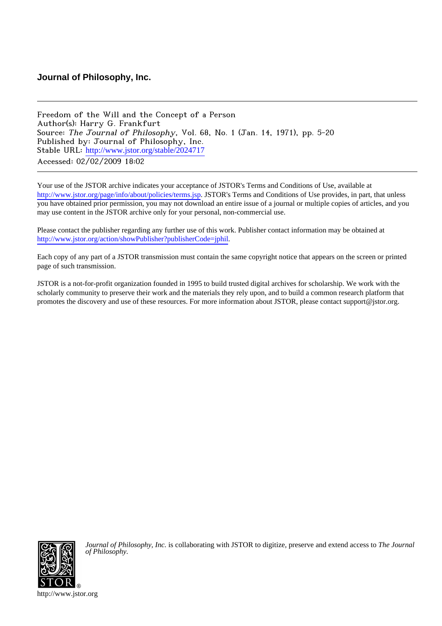## **Journal of Philosophy, Inc.**

Freedom of the Will and the Concept of a Person Author(s): Harry G. Frankfurt Source: The Journal of Philosophy, Vol. 68, No. 1 (Jan. 14, 1971), pp. 5-20 Published by: Journal of Philosophy, Inc. Stable URL: [http://www.jstor.org/stable/2024717](http://www.jstor.org/stable/2024717?origin=JSTOR-pdf) Accessed: 02/02/2009 18:02

Your use of the JSTOR archive indicates your acceptance of JSTOR's Terms and Conditions of Use, available at <http://www.jstor.org/page/info/about/policies/terms.jsp>. JSTOR's Terms and Conditions of Use provides, in part, that unless you have obtained prior permission, you may not download an entire issue of a journal or multiple copies of articles, and you may use content in the JSTOR archive only for your personal, non-commercial use.

Please contact the publisher regarding any further use of this work. Publisher contact information may be obtained at <http://www.jstor.org/action/showPublisher?publisherCode=jphil>.

Each copy of any part of a JSTOR transmission must contain the same copyright notice that appears on the screen or printed page of such transmission.

JSTOR is a not-for-profit organization founded in 1995 to build trusted digital archives for scholarship. We work with the scholarly community to preserve their work and the materials they rely upon, and to build a common research platform that promotes the discovery and use of these resources. For more information about JSTOR, please contact support@jstor.org.



*Journal of Philosophy, Inc.* is collaborating with JSTOR to digitize, preserve and extend access to *The Journal of Philosophy.*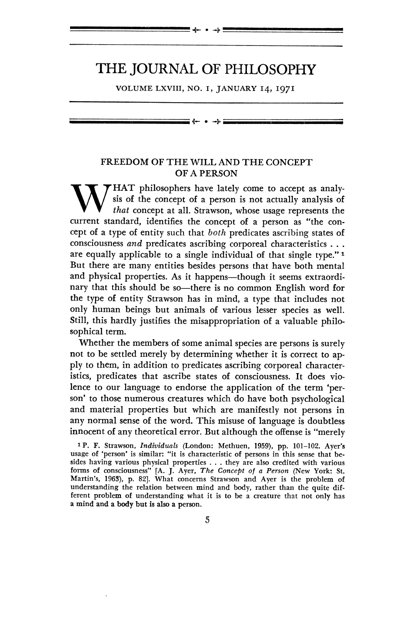# THE JOURNAL OF PHILOSOPHY

VOLUME LXVIII, NO. 1, JANUARY 14, 1971

**≡∻∙∻**≡

## FREEDOM OF THE WILL AND THE CONCEPT **OF A PERSON**

HAT philosophers have lately come to accept as analysis of the concept of a person is not actually analysis of that concept at all. Strawson, whose usage represents the current standard, identifies the concept of a person as "the concept of a type of entity such that both predicates ascribing states of consciousness and predicates ascribing corporeal characteristics . . . are equally applicable to a single individual of that single type."<sup>1</sup> But there are many entities besides persons that have both mental and physical properties. As it happens—though it seems extraordinary that this should be so-there is no common English word for the type of entity Strawson has in mind, a type that includes not only human beings but animals of various lesser species as well. Still, this hardly justifies the misappropriation of a valuable philosophical term.

Whether the members of some animal species are persons is surely not to be settled merely by determining whether it is correct to apply to them, in addition to predicates ascribing corporeal characteristics, predicates that ascribe states of consciousness. It does violence to our language to endorse the application of the term 'person' to those numerous creatures which do have both psychological and material properties but which are manifestly not persons in any normal sense of the word. This misuse of language is doubtless innocent of any theoretical error. But although the offense is "merely

1 P. F. Strawson, Individuals (London: Methuen, 1959), pp. 101-102. Ayer's usage of 'person' is similar: "it is characteristic of persons in this sense that besides having various physical properties . . . they are also credited with various forms of consciousness" [A. J. Ayer, The Concept of a Person (New York: St. Martin's, 1963), p. 82]. What concerns Strawson and Ayer is the problem of understanding the relation between mind and body, rather than the quite different problem of understanding what it is to be a creature that not only has a mind and a body but is also a person.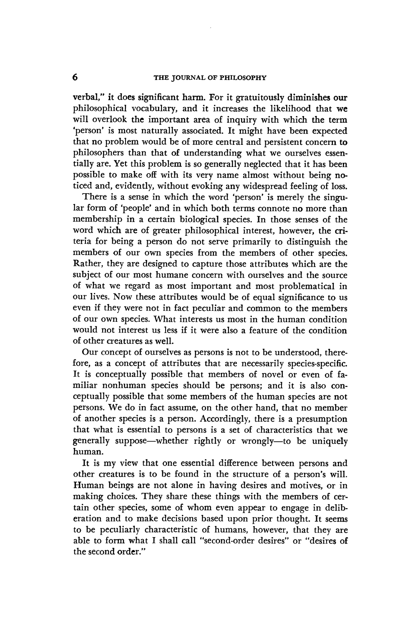### THE JOURNAL OF PHILOSOPHY

verbal," it does significant harm. For it gratuitously diminishes our philosophical vocabulary, and it increases the likelihood that we will overlook the important area of inquiry with which the term 'person' is most naturally associated. It might have been expected that no problem would be of more central and persistent concern to philosophers than that of understanding what we ourselves essentially are. Yet this problem is so generally neglected that it has been possible to make off with its very name almost without being noticed and, evidently, without evoking any widespread feeling of loss.

There is a sense in which the word 'person' is merely the singular form of 'people' and in which both terms connote no more than membership in a certain biological species. In those senses of the word which are of greater philosophical interest, however, the criteria for being a person do not serve primarily to distinguish the members of our own species from the members of other species. Rather, they are designed to capture those attributes which are the subject of our most humane concern with ourselves and the source of what we regard as most important and most problematical in our lives. Now these attributes would be of equal significance to us even if they were not in fact peculiar and common to the members of our own species. What interests us most in the human condition would not interest us less if it were also a feature of the condition of other creatures as well.

Our concept of ourselves as persons is not to be understood, therefore, as a concept of attributes that are necessarily species-specific. It is conceptually possible that members of novel or even of familiar nonhuman species should be persons; and it is also conceptually possible that some members of the human species are not persons. We do in fact assume, on the other hand, that no member of another species is a person. Accordingly, there is a presumption that what is essential to persons is a set of characteristics that we generally suppose—whether rightly or wrongly—to be uniquely human.

It is my view that one essential difference between persons and other creatures is to be found in the structure of a person's will. Human beings are not alone in having desires and motives, or in making choices. They share these things with the members of certain other species, some of whom even appear to engage in deliberation and to make decisions based upon prior thought. It seems to be peculiarly characteristic of humans, however, that they are able to form what I shall call "second-order desires" or "desires of the second order."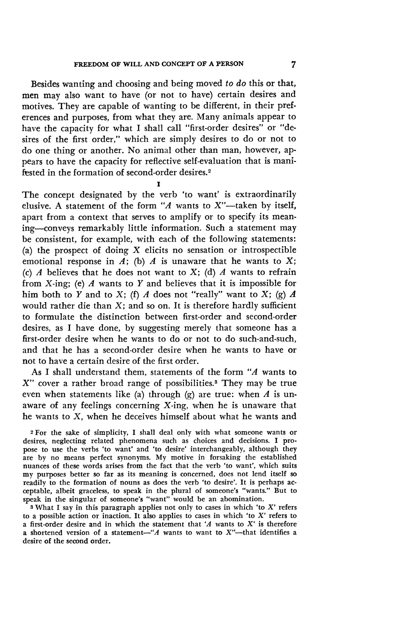Besides wanting and choosing and being moved to do this or that. men may also want to have (or not to have) certain desires and motives. They are capable of wanting to be different, in their preferences and purposes, from what they are. Many animals appear to have the capacity for what I shall call "first-order desires" or "desires of the first order," which are simply desires to do or not to do one thing or another. No animal other than man, however, appears to have the capacity for reflective self-evaluation that is manifested in the formation of second-order desires.<sup>2</sup>

The concept designated by the verb 'to want' is extraordinarily elusive. A statement of the form "A wants to X"-taken by itself, apart from a context that serves to amplify or to specify its meaning-conveys remarkably little information. Such a statement may be consistent, for example, with each of the following statements: (a) the prospect of doing  $X$  elicits no sensation or introspectible emotional response in  $A$ ; (b)  $A$  is unaware that he wants to  $X$ ; (c) A believes that he does not want to X; (d) A wants to refrain from X-ing; (e)  $A$  wants to  $Y$  and believes that it is impossible for him both to Y and to X: (f) A does not "really" want to X: (g) A would rather die than  $X$ : and so on. It is therefore hardly sufficient to formulate the distinction between first-order and second-order desires, as I have done, by suggesting merely that someone has a first-order desire when he wants to do or not to do such-and-such, and that he has a second-order desire when he wants to have or not to have a certain desire of the first order.

As I shall understand them, statements of the form "A wants to X" cover a rather broad range of possibilities.<sup>3</sup> They may be true even when statements like (a) through (g) are true: when A is unaware of any feelings concerning  $X$ -ing, when he is unaware that he wants to X, when he deceives himself about what he wants and

<sup>2</sup> For the sake of simplicity, I shall deal only with what someone wants or desires, neglecting related phenomena such as choices and decisions. I propose to use the verbs 'to want' and 'to desire' interchangeably, although they are by no means perfect synonyms. My motive in forsaking the established nuances of these words arises from the fact that the verb 'to want', which suits my purposes better so far as its meaning is concerned, does not lend itself so readily to the formation of nouns as does the verb 'to desire'. It is perhaps acceptable, albeit graceless, to speak in the plural of someone's "wants." But to speak in the singular of someone's "want" would be an abomination.

<sup>3</sup> What I say in this paragraph applies not only to cases in which 'to X' refers to a possible action or inaction. It also applies to cases in which 'to X' refers to a first-order desire and in which the statement that 'A wants to  $X'$  is therefore a shortened version of a statement-"A wants to want to X"-that identifies a desire of the second order.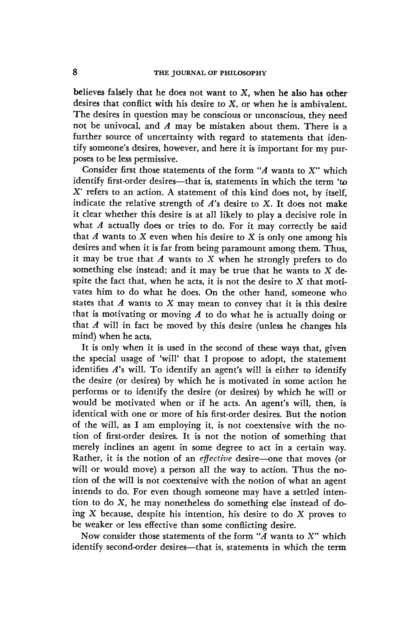believes falsely that he does not want to  $X$ , when he also has other desires that conflict with his desire to  $X$ , or when he is ambivalent. The desires in question may be conscious or unconscious, they need not be univocal, and  $A$  may be mistaken about them. There is a further source of uncertainty with regard to statements that identify someone's desires, however, and here it is important for my purposes to be less permissive.

Consider first those statements of the form " $A$  wants to  $X$ " which identify first-order desires—that is, statements in which the term 'to X' refers to an action. A statement of this kind does not, by itself, indicate the relative strength of  $A$ 's desire to  $X$ . It does not make it clear whether this desire is at all likely to play a decisive role in what  $A$  actually does or tries to do. For it may correctly be said that  $A$  wants to  $X$  even when his desire to  $X$  is only one among his desires and when it is far from being paramount among them. Thus, it may be true that  $A$  wants to  $X$  when he strongly prefers to do something else instead; and it may be true that he wants to  $X$  despite the fact that, when he acts, it is not the desire to  $X$  that motivates him to do what he does. On the other hand, someone who states that  $A$  wants to  $X$  may mean to convey that it is this desire that is motivating or moving  $A$  to do what he is actually doing or that  $A$  will in fact be moved by this desire (unless he changes his mind) when he acts.

It is only when it is used in the second of these ways that, given the special usage of 'will' that I propose to adopt, the statement identifies A's will. To identify an agent's will is either to identify the desire (or desires) by which he is motivated in some action he performs or to identify the desire (or desires) by which he will or would be motivated when or if he acts. An agent's will, then, is identical with one or more of his first-order desires. But the notion of the will, as I am employing it, is not coextensive with the notion of first-order desires. It is not the notion of something that merely inclines an agent in some degree to act in a certain way. Rather, it is the notion of an effective desire-one that moves (or will or would move) a person all the way to action. Thus the notion of the will is not coextensive with the notion of what an agent intends to do. For even though someone may have a settled intention to do X, he may nonetheless do something else instead of doing  $X$  because, despite his intention, his desire to do  $X$  proves to be weaker or less effective than some conflicting desire.

Now consider those statements of the form " $\overline{A}$  wants to X" which identify second-order desires—that is, statements in which the term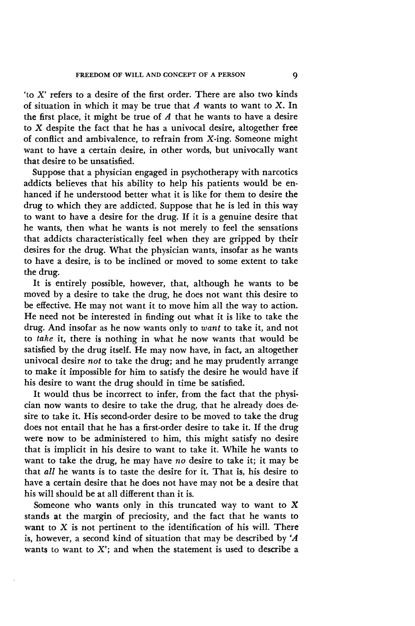'to X' refers to a desire of the first order. There are also two kinds of situation in which it may be true that  $A$  wants to want to  $X$ . In the first place, it might be true of  $A$  that he wants to have a desire to  $X$  despite the fact that he has a univocal desire, altogether free of conflict and ambivalence, to refrain from X-ing. Someone might want to have a certain desire, in other words, but univocally want that desire to be unsatisfied.

Suppose that a physician engaged in psychotherapy with narcotics addicts believes that his ability to help his patients would be enhanced if he understood better what it is like for them to desire the drug to which they are addicted. Suppose that he is led in this way to want to have a desire for the drug. If it is a genuine desire that he wants, then what he wants is not merely to feel the sensations that addicts characteristically feel when they are gripped by their desires for the drug. What the physician wants, insofar as he wants to have a desire, is to be inclined or moved to some extent to take the drug.

It is entirely possible, however, that, although he wants to be moved by a desire to take the drug, he does not want this desire to be effective. He may not want it to move him all the way to action. He need not be interested in finding out what it is like to take the drug. And insofar as he now wants only to want to take it, and not to *take* it, there is nothing in what he now wants that would be satisfied by the drug itself. He may now have, in fact, an altogether univocal desire not to take the drug; and he may prudently arrange to make it impossible for him to satisfy the desire he would have if his desire to want the drug should in time be satisfied.

It would thus be incorrect to infer, from the fact that the physician now wants to desire to take the drug, that he already does desire to take it. His second-order desire to be moved to take the drug does not entail that he has a first-order desire to take it. If the drug were now to be administered to him, this might satisfy no desire that is implicit in his desire to want to take it. While he wants to want to take the drug, he may have no desire to take it; it may be that all he wants is to taste the desire for it. That is, his desire to have a certain desire that he does not have may not be a desire that his will should be at all different than it is.

Someone who wants only in this truncated way to want to  $X$ stands at the margin of preciosity, and the fact that he wants to want to X is not pertinent to the identification of his will. There is, however, a second kind of situation that may be described by  $A$ wants to want to  $X'$ : and when the statement is used to describe a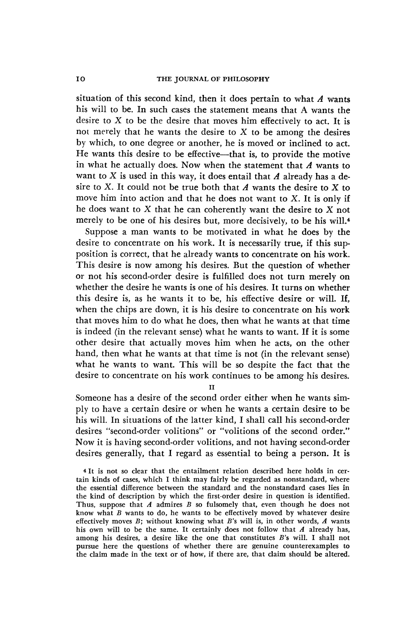situation of this second kind, then it does pertain to what A wants his will to be. In such cases the statement means that A wants the desire to  $X$  to be the desire that moves him effectively to act. It is not merely that he wants the desire to  $X$  to be among the desires by which, to one degree or another, he is moved or inclined to act. He wants this desire to be effective-that is, to provide the motive in what he actually does. Now when the statement that  $A$  wants to want to X is used in this way, it does entail that  $A$  already has a desire to X. It could not be true both that  $A$  wants the desire to X to move him into action and that he does not want to X. It is only if he does want to  $X$  that he can coherently want the desire to  $X$  not merely to be one of his desires but, more decisively, to be his will.<sup>4</sup>

Suppose a man wants to be motivated in what he does by the desire to concentrate on his work. It is necessarily true, if this supposition is correct, that he already wants to concentrate on his work. This desire is now among his desires. But the question of whether or not his second-order desire is fulfilled does not turn merely on whether the desire he wants is one of his desires. It turns on whether this desire is, as he wants it to be, his effective desire or will. If, when the chips are down, it is his desire to concentrate on his work that moves him to do what he does, then what he wants at that time is indeed (in the relevant sense) what he wants to want. If it is some other desire that actually moves him when he acts, on the other hand, then what he wants at that time is not (in the relevant sense) what he wants to want. This will be so despite the fact that the desire to concentrate on his work continues to be among his desires.

Someone has a desire of the second order either when he wants simply to have a certain desire or when he wants a certain desire to be his will. In situations of the latter kind, I shall call his second-order desires "second-order volitions" or "volitions of the second order." Now it is having second-order volitions, and not having second-order desires generally, that I regard as essential to being a person. It is

<sup>4</sup> It is not so clear that the entailment relation described here holds in certain kinds of cases, which I think may fairly be regarded as nonstandard, where the essential difference between the standard and the nonstandard cases lies in the kind of description by which the first-order desire in question is identified. Thus, suppose that  $A$  admires  $B$  so fulsomely that, even though he does not know what  $B$  wants to do, he wants to be effectively moved by whatever desire effectively moves  $B$ ; without knowing what  $B$ 's will is, in other words,  $A$  wants his own will to be the same. It certainly does not follow that  $A$  already has, among his desires, a desire like the one that constitutes B's will. I shall not pursue here the questions of whether there are genuine counterexamples to the claim made in the text or of how, if there are, that claim should be altered.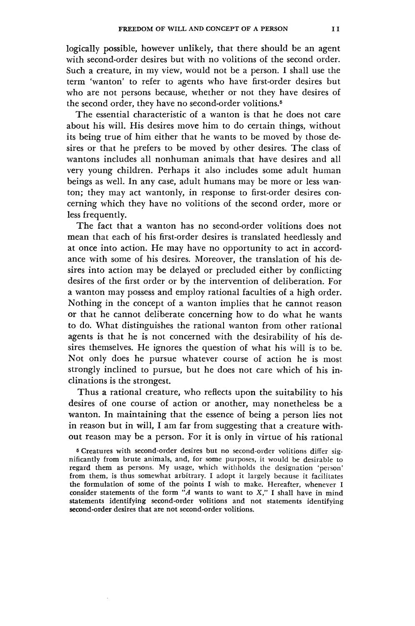logically possible, however unlikely, that there should be an agent with second-order desires but with no volitions of the second order. Such a creature, in my view, would not be a person. I shall use the term 'wanton' to refer to agents who have first-order desires but who are not persons because, whether or not they have desires of the second order, they have no second-order volitions.<sup>5</sup>

The essential characteristic of a wanton is that he does not care about his will. His desires move him to do certain things, without its being true of him either that he wants to be moved by those desires or that he prefers to be moved by other desires. The class of wantons includes all nonhuman animals that have desires and all very young children. Perhaps it also includes some adult human beings as well. In any case, adult humans may be more or less wanton; they may act wantonly, in response to first-order desires concerning which they have no volitions of the second order, more or less frequently.

The fact that a wanton has no second-order volitions does not mean that each of his first-order desires is translated heedlessly and at once into action. He may have no opportunity to act in accordance with some of his desires. Moreover, the translation of his desires into action may be delayed or precluded either by conflicting desires of the first order or by the intervention of deliberation. For a wanton may possess and employ rational faculties of a high order. Nothing in the concept of a wanton implies that he cannot reason or that he cannot deliberate concerning how to do what he wants to do. What distinguishes the rational wanton from other rational agents is that he is not concerned with the desirability of his desires themselves. He ignores the question of what his will is to be. Not only does he pursue whatever course of action he is most strongly inclined to pursue, but he does not care which of his inclinations is the strongest.

Thus a rational creature, who reflects upon the suitability to his desires of one course of action or another, may nonetheless be a wanton. In maintaining that the essence of being a person lies not in reason but in will, I am far from suggesting that a creature without reason may be a person. For it is only in virtue of his rational

<sup>&</sup>lt;sup>5</sup> Creatures with second-order desires but no second-order volitions differ significantly from brute animals, and, for some purposes, it would be desirable to regard them as persons. My usage, which withholds the designation 'person' from them, is thus somewhat arbitrary. I adopt it largely because it facilitates the formulation of some of the points I wish to make. Hereafter, whenever I consider statements of the form "A wants to want to X," I shall have in mind statements identifying second-order volitions and not statements identifying second-order desires that are not second-order volitions.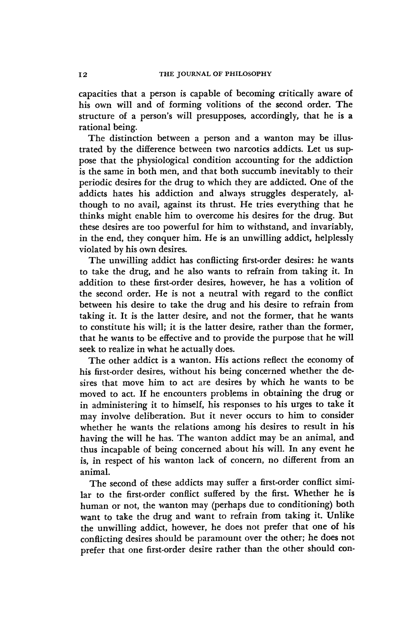capacities that a person is capable of becoming critically aware of his own will and of forming volitions of the second order. The structure of a person's will presupposes, accordingly, that he is a rational being.

The distinction between a person and a wanton may be illustrated by the difference between two narcotics addicts. Let us suppose that the physiological condition accounting for the addiction is the same in both men, and that both succumb inevitably to their periodic desires for the drug to which they are addicted. One of the addicts hates his addiction and always struggles desperately, although to no avail, against its thrust. He tries everything that he thinks might enable him to overcome his desires for the drug. But these desires are too powerful for him to withstand, and invariably, in the end, they conquer him. He is an unwilling addict, helplessly violated by his own desires.

The unwilling addict has conflicting first-order desires: he wants to take the drug, and he also wants to refrain from taking it. In addition to these first-order desires, however, he has a volition of the second order. He is not a neutral with regard to the conflict between his desire to take the drug and his desire to refrain from taking it. It is the latter desire, and not the former, that he wants to constitute his will; it is the latter desire, rather than the former, that he wants to be effective and to provide the purpose that he will seek to realize in what he actually does.

The other addict is a wanton. His actions reflect the economy of his first-order desires, without his being concerned whether the desires that move him to act are desires by which he wants to be moved to act. If he encounters problems in obtaining the drug or in administering it to himself, his responses to his urges to take it may involve deliberation. But it never occurs to him to consider whether he wants the relations among his desires to result in his having the will he has. The wanton addict may be an animal, and thus incapable of being concerned about his will. In any event he is, in respect of his wanton lack of concern, no different from an animal.

The second of these addicts may suffer a first-order conflict similar to the first-order conflict suffered by the first. Whether he is human or not, the wanton may (perhaps due to conditioning) both want to take the drug and want to refrain from taking it. Unlike the unwilling addict, however, he does not prefer that one of his conflicting desires should be paramount over the other; he does not prefer that one first-order desire rather than the other should con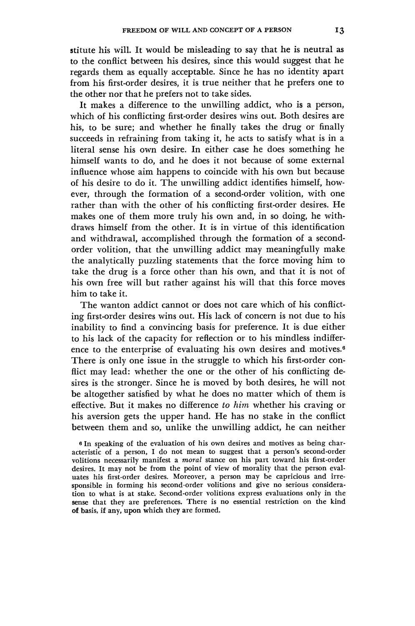stitute his will. It would be misleading to say that he is neutral as to the conflict between his desires, since this would suggest that he regards them as equally acceptable. Since he has no identity apart from his first-order desires, it is true neither that he prefers one to the other nor that he prefers not to take sides.

It makes a difference to the unwilling addict, who is a person, which of his conflicting first-order desires wins out. Both desires are his, to be sure; and whether he finally takes the drug or finally succeeds in refraining from taking it, he acts to satisfy what is in a literal sense his own desire. In either case he does something he himself wants to do, and he does it not because of some external influence whose aim happens to coincide with his own but because of his desire to do it. The unwilling addict identifies himself, however, through the formation of a second-order volition, with one rather than with the other of his conflicting first-order desires. He makes one of them more truly his own and, in so doing, he withdraws himself from the other. It is in virtue of this identification and withdrawal, accomplished through the formation of a secondorder volition, that the unwilling addict may meaningfully make the analytically puzzling statements that the force moving him to take the drug is a force other than his own, and that it is not of his own free will but rather against his will that this force moves him to take it.

The wanton addict cannot or does not care which of his conflicting first-order desires wins out. His lack of concern is not due to his inability to find a convincing basis for preference. It is due either to his lack of the capacity for reflection or to his mindless indifference to the enterprise of evaluating his own desires and motives.<sup>6</sup> There is only one issue in the struggle to which his first-order conflict may lead: whether the one or the other of his conflicting desires is the stronger. Since he is moved by both desires, he will not be altogether satisfied by what he does no matter which of them is effective. But it makes no difference to him whether his craving or his aversion gets the upper hand. He has no stake in the conflict between them and so, unlike the unwilling addict, he can neither

<sup>6</sup> In speaking of the evaluation of his own desires and motives as being characteristic of a person, I do not mean to suggest that a person's second-order volitions necessarily manifest a moral stance on his part toward his first-order desires. It may not be from the point of view of morality that the person evaluates his first-order desires. Moreover, a person may be capricious and irresponsible in forming his second-order volitions and give no serious consideration to what is at stake. Second-order volitions express evaluations only in the sense that they are preferences. There is no essential restriction on the kind of basis, if any, upon which they are formed.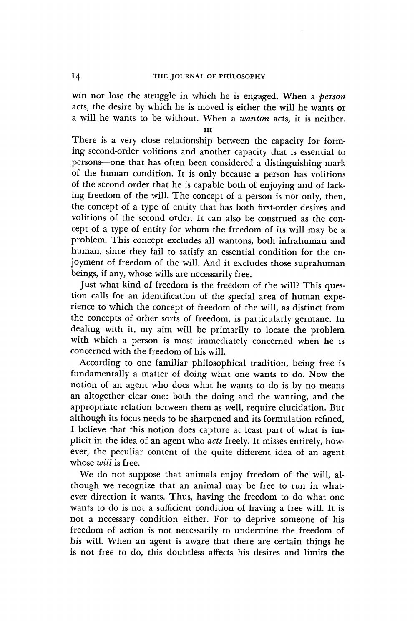win nor lose the struggle in which he is engaged. When a person acts, the desire by which he is moved is either the will he wants or a will he wants to be without. When a wanton acts, it is neither.

 $\overline{\mathbf{H}}$ 

There is a very close relationship between the capacity for forming second-order volitions and another capacity that is essential to persons-one that has often been considered a distinguishing mark of the human condition. It is only because a person has volitions of the second order that he is capable both of enjoying and of lacking freedom of the will. The concept of a person is not only, then, the concept of a type of entity that has both first-order desires and volitions of the second order. It can also be construed as the concept of a type of entity for whom the freedom of its will may be a problem. This concept excludes all wantons, both infrahuman and human, since they fail to satisfy an essential condition for the enjoyment of freedom of the will. And it excludes those suprahuman beings, if any, whose wills are necessarily free.

Just what kind of freedom is the freedom of the will? This question calls for an identification of the special area of human experience to which the concept of freedom of the will, as distinct from the concepts of other sorts of freedom, is particularly germane. In dealing with it, my aim will be primarily to locate the problem with which a person is most immediately concerned when he is concerned with the freedom of his will.

According to one familiar philosophical tradition, being free is fundamentally a matter of doing what one wants to do. Now the notion of an agent who does what he wants to do is by no means an altogether clear one: both the doing and the wanting, and the appropriate relation between them as well, require elucidation. But although its focus needs to be sharpened and its formulation refined, I believe that this notion does capture at least part of what is implicit in the idea of an agent who acts freely. It misses entirely, however, the peculiar content of the quite different idea of an agent whose will is free.

We do not suppose that animals enjoy freedom of the will, although we recognize that an animal may be free to run in whatever direction it wants. Thus, having the freedom to do what one wants to do is not a sufficient condition of having a free will. It is not a necessary condition either. For to deprive someone of his freedom of action is not necessarily to undermine the freedom of his will. When an agent is aware that there are certain things he is not free to do, this doubtless affects his desires and limits the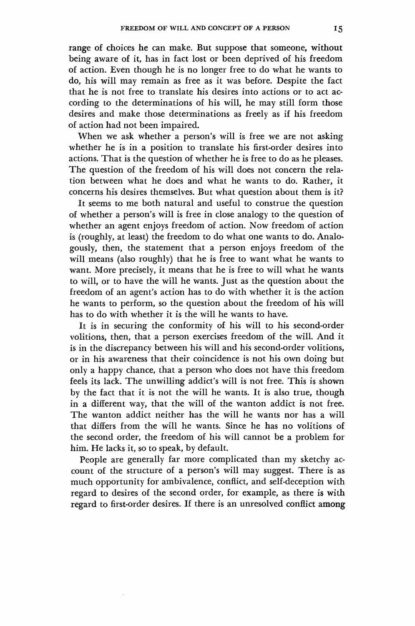range of choices he can make. But suppose that someone, without being aware of it, has in fact lost or been deprived of his freedom of action. Even though he is no longer free to do what he wants to do, his will may remain as free as it was before. Despite the fact that he is not free to translate his desires into actions or to act according to the determinations of his will, he may still form those desires and make those determinations as freely as if his freedom of action had not been impaired.

When we ask whether a person's will is free we are not asking whether he is in a position to translate his first-order desires into actions. That is the question of whether he is free to do as he pleases. The question of the freedom of his will does not concern the relation between what he does and what he wants to do. Rather, it concerns his desires themselves. But what question about them is it?

It seems to me both natural and useful to construe the question of whether a person's will is free in close analogy to the question of whether an agent enjoys freedom of action. Now freedom of action is (roughly, at least) the freedom to do what one wants to do. Analogously, then, the statement that a person enjoys freedom of the will means (also roughly) that he is free to want what he wants to want. More precisely, it means that he is free to will what he wants to will, or to have the will he wants. Just as the question about the freedom of an agent's action has to do with whether it is the action he wants to perform, so the question about the freedom of his will has to do with whether it is the will he wants to have.

It is in securing the conformity of his will to his second-order volitions, then, that a person exercises freedom of the will. And it is in the discrepancy between his will and his second-order volitions, or in his awareness that their coincidence is not his own doing but only a happy chance, that a person who does not have this freedom feels its lack. The unwilling addict's will is not free. This is shown by the fact that it is not the will he wants. It is also true, though in a different way, that the will of the wanton addict is not free. The wanton addict neither has the will he wants nor has a will that differs from the will he wants. Since he has no volitions of the second order, the freedom of his will cannot be a problem for him. He lacks it, so to speak, by default.

People are generally far more complicated than my sketchy account of the structure of a person's will may suggest. There is as much opportunity for ambivalence, conflict, and self-deception with regard to desires of the second order, for example, as there is with regard to first-order desires. If there is an unresolved conflict among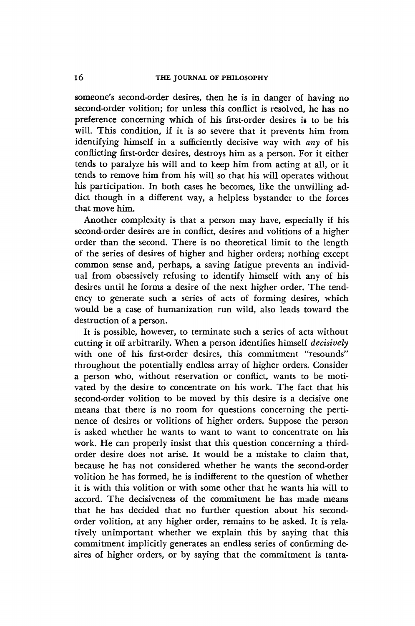someone's second-order desires, then he is in danger of having no second-order volition; for unless this conflict is resolved, he has no preference concerning which of his first-order desires is to be his will. This condition, if it is so severe that it prevents him from identifying himself in a sufficiently decisive way with any of his conflicting first-order desires, destroys him as a person. For it either tends to paralyze his will and to keep him from acting at all, or it tends to remove him from his will so that his will operates without his participation. In both cases he becomes, like the unwilling addict though in a different way, a helpless bystander to the forces that move him.

Another complexity is that a person may have, especially if his second-order desires are in conflict, desires and volitions of a higher order than the second. There is no theoretical limit to the length of the series of desires of higher and higher orders; nothing except common sense and, perhaps, a saving fatigue prevents an individual from obsessively refusing to identify himself with any of his desires until he forms a desire of the next higher order. The tendency to generate such a series of acts of forming desires, which would be a case of humanization run wild, also leads toward the destruction of a person.

It is possible, however, to terminate such a series of acts without cutting it off arbitrarily. When a person identifies himself *decisively* with one of his first-order desires, this commitment "resounds" throughout the potentially endless array of higher orders. Consider a person who, without reservation or conflict, wants to be motivated by the desire to concentrate on his work. The fact that his second-order volition to be moved by this desire is a decisive one means that there is no room for questions concerning the pertinence of desires or volitions of higher orders. Suppose the person is asked whether he wants to want to want to concentrate on his work. He can properly insist that this question concerning a thirdorder desire does not arise. It would be a mistake to claim that, because he has not considered whether he wants the second-order volition he has formed, he is indifferent to the question of whether it is with this volition or with some other that he wants his will to accord. The decisiveness of the commitment he has made means that he has decided that no further question about his secondorder volition, at any higher order, remains to be asked. It is relatively unimportant whether we explain this by saying that this commitment implicitly generates an endless series of confirming desires of higher orders, or by saying that the commitment is tanta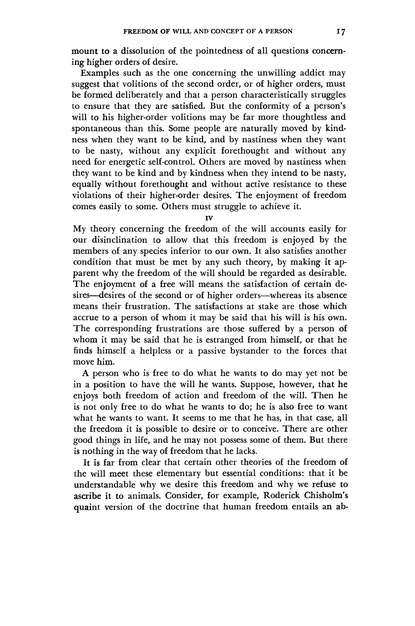mount to a dissolution of the pointedness of all questions concerning higher orders of desire.

Examples such as the one concerning the unwilling addict may suggest that volitions of the second order, or of higher orders, must be formed deliberately and that a person characteristically struggles to ensure that they are satisfied. But the conformity of a person's will to his higher-order volitions may be far more thoughtless and spontaneous than this. Some people are naturally moved by kindness when they want to be kind, and by nastiness when they want to be nasty, without any explicit forethought and without any need for energetic self-control. Others are moved by nastiness when they want to be kind and by kindness when they intend to be nasty. equally without forethought and without active resistance to these violations of their higher-order desires. The enjoyment of freedom comes easily to some. Others must struggle to achieve it.

 $\overline{\bf v}$ 

My theory concerning the freedom of the will accounts easily for our disinclination to allow that this freedom is enjoyed by the members of any species inferior to our own. It also satisfies another condition that must be met by any such theory, by making it apparent why the freedom of the will should be regarded as desirable. The enjoyment of a free will means the satisfaction of certain desires—desires of the second or of higher orders—whereas its absence means their frustration. The satisfactions at stake are those which accrue to a person of whom it may be said that his will is his own. The corresponding frustrations are those suffered by a person of whom it may be said that he is estranged from himself, or that he finds himself a helpless or a passive bystander to the forces that move him.

A person who is free to do what he wants to do may yet not be in a position to have the will he wants. Suppose, however, that he enjoys both freedom of action and freedom of the will. Then he is not only free to do what he wants to do; he is also free to want what he wants to want. It seems to me that he has, in that case, all the freedom it is possible to desire or to conceive. There are other good things in life, and he may not possess some of them. But there is nothing in the way of freedom that he lacks.

It is far from clear that certain other theories of the freedom of the will meet these elementary but essential conditions: that it be understandable why we desire this freedom and why we refuse to ascribe it to animals. Consider, for example, Roderick Chisholm's quaint version of the doctrine that human freedom entails an ab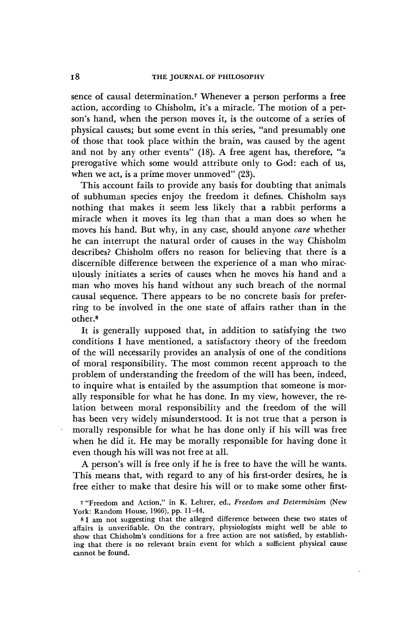sence of causal determination.<sup>7</sup> Whenever a person performs a free action, according to Chisholm, it's a miracle. The motion of a person's hand, when the person moves it, is the outcome of a series of physical causes; but some event in this series, "and presumably one of those that took place within the brain, was caused by the agent and not by any other events" (18). A free agent has, therefore, "a prerogative which some would attribute only to God: each of us, when we act, is a prime mover unmoved"  $(23)$ .

This account fails to provide any basis for doubting that animals of subhuman species enjoy the freedom it defines. Chisholm says nothing that makes it seem less likely that a rabbit performs a miracle when it moves its leg than that a man does so when he moves his hand. But why, in any case, should anyone care whether he can interrupt the natural order of causes in the way Chisholm describes? Chisholm offers no reason for believing that there is a discernible difference between the experience of a man who miraculously initiates a series of causes when he moves his hand and a man who moves his hand without any such breach of the normal causal sequence. There appears to be no concrete basis for preferring to be involved in the one state of affairs rather than in the other.<sup>8</sup>

It is generally supposed that, in addition to satisfying the two conditions I have mentioned, a satisfactory theory of the freedom of the will necessarily provides an analysis of one of the conditions of moral responsibility. The most common recent approach to the problem of understanding the freedom of the will has been, indeed, to inquire what is entailed by the assumption that someone is morally responsible for what he has done. In my view, however, the relation between moral responsibility and the freedom of the will has been very widely misunderstood. It is not true that a person is morally responsible for what he has done only if his will was free when he did it. He may be morally responsible for having done it even though his will was not free at all.

A person's will is free only if he is free to have the will he wants. This means that, with regard to any of his first-order desires, he is free either to make that desire his will or to make some other first-

<sup>7 &</sup>quot;Freedom and Action," in K. Lehrer, ed., Freedom and Determinism (New York: Random House, 1966), pp. 11-44.

<sup>8</sup> I am not suggesting that the alleged difference between these two states of affairs is unverifiable. On the contrary, physiologists might well be able to show that Chisholm's conditions for a free action are not satisfied, by establishing that there is no relevant brain event for which a sufficient physical cause cannot be found.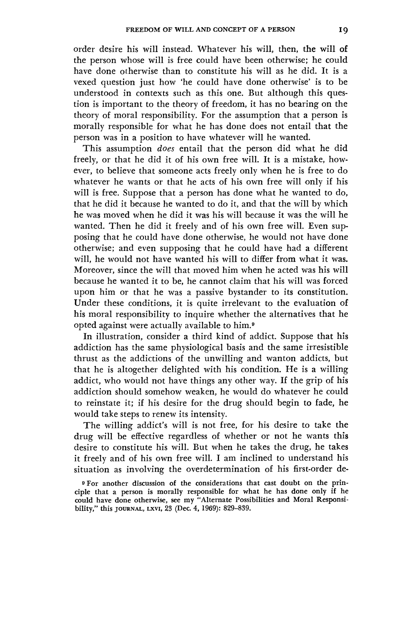order desire his will instead. Whatever his will, then, the will of the person whose will is free could have been otherwise; he could have done otherwise than to constitute his will as he did. It is a vexed question just how 'he could have done otherwise' is to be understood in contexts such as this one. But although this question is important to the theory of freedom, it has no bearing on the theory of moral responsibility. For the assumption that a person is morally responsible for what he has done does not entail that the person was in a position to have whatever will he wanted.

This assumption does entail that the person did what he did freely, or that he did it of his own free will. It is a mistake, however, to believe that someone acts freely only when he is free to do whatever he wants or that he acts of his own free will only if his will is free. Suppose that a person has done what he wanted to do, that he did it because he wanted to do it, and that the will by which he was moved when he did it was his will because it was the will he wanted. Then he did it freely and of his own free will. Even supposing that he could have done otherwise, he would not have done otherwise; and even supposing that he could have had a different will, he would not have wanted his will to differ from what it was. Moreover, since the will that moved him when he acted was his will because he wanted it to be, he cannot claim that his will was forced upon him or that he was a passive bystander to its constitution. Under these conditions, it is quite irrelevant to the evaluation of his moral responsibility to inquire whether the alternatives that he opted against were actually available to him.<sup>9</sup>

In illustration, consider a third kind of addict. Suppose that his addiction has the same physiological basis and the same irresistible thrust as the addictions of the unwilling and wanton addicts, but that he is altogether delighted with his condition. He is a willing addict, who would not have things any other way. If the grip of his addiction should somehow weaken, he would do whatever he could to reinstate it; if his desire for the drug should begin to fade, he would take steps to renew its intensity.

The willing addict's will is not free, for his desire to take the drug will be effective regardless of whether or not he wants this desire to constitute his will. But when he takes the drug, he takes it freely and of his own free will. I am inclined to understand his situation as involving the overdetermination of his first-order de-

<sup>9</sup> For another discussion of the considerations that cast doubt on the principle that a person is morally responsible for what he has done only if he could have done otherwise, see my "Alternate Possibilities and Moral Responsibility," this JOURNAL, LXVI, 23 (Dec. 4, 1969): 829-839.